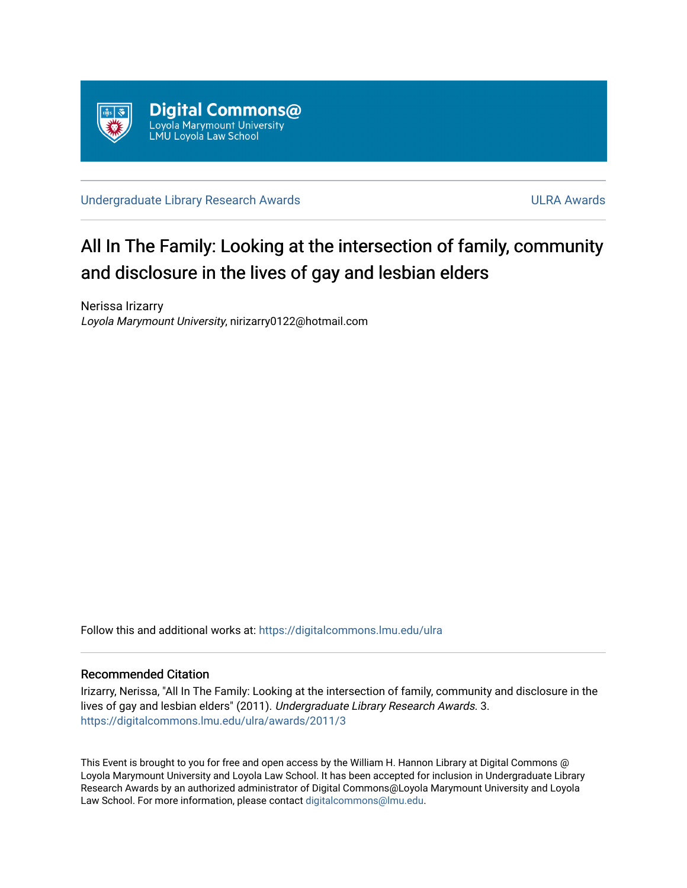

[Undergraduate Library Research Awards](https://digitalcommons.lmu.edu/ulra) **ULRA Awards** ULRA Awards

# All In The Family: Looking at the intersection of family, community and disclosure in the lives of gay and lesbian elders

Nerissa Irizarry Loyola Marymount University, nirizarry0122@hotmail.com

Follow this and additional works at: [https://digitalcommons.lmu.edu/ulra](https://digitalcommons.lmu.edu/ulra?utm_source=digitalcommons.lmu.edu%2Fulra%2Fawards%2F2011%2F3&utm_medium=PDF&utm_campaign=PDFCoverPages)

### Recommended Citation

Irizarry, Nerissa, "All In The Family: Looking at the intersection of family, community and disclosure in the lives of gay and lesbian elders" (2011). Undergraduate Library Research Awards. 3. [https://digitalcommons.lmu.edu/ulra/awards/2011/3](https://digitalcommons.lmu.edu/ulra/awards/2011/3?utm_source=digitalcommons.lmu.edu%2Fulra%2Fawards%2F2011%2F3&utm_medium=PDF&utm_campaign=PDFCoverPages)

This Event is brought to you for free and open access by the William H. Hannon Library at Digital Commons @ Loyola Marymount University and Loyola Law School. It has been accepted for inclusion in Undergraduate Library Research Awards by an authorized administrator of Digital Commons@Loyola Marymount University and Loyola Law School. For more information, please contact [digitalcommons@lmu.edu.](mailto:digitalcommons@lmu.edu)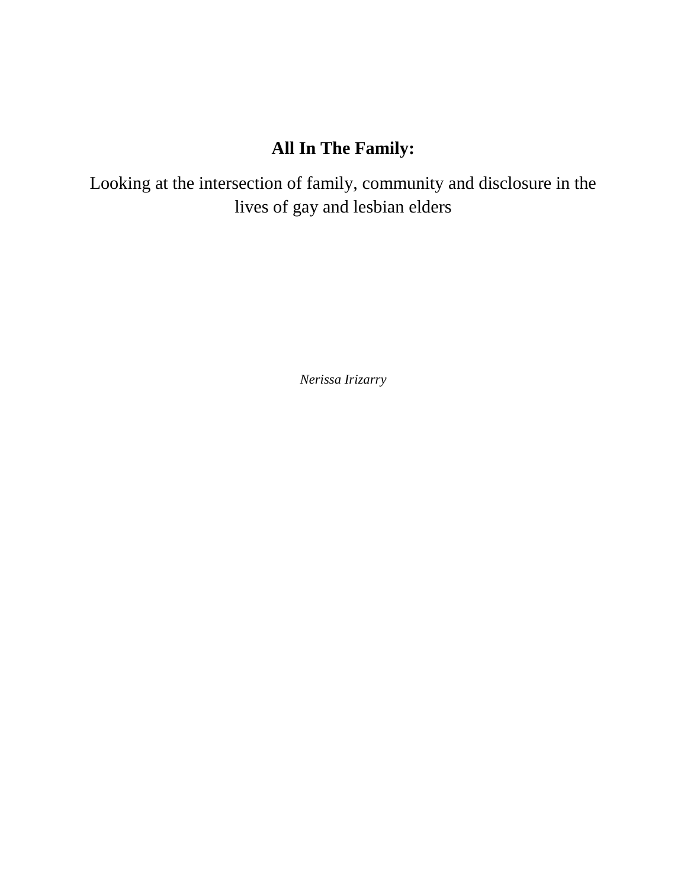## **All In The Family:**

Looking at the intersection of family, community and disclosure in the lives of gay and lesbian elders

*Nerissa Irizarry*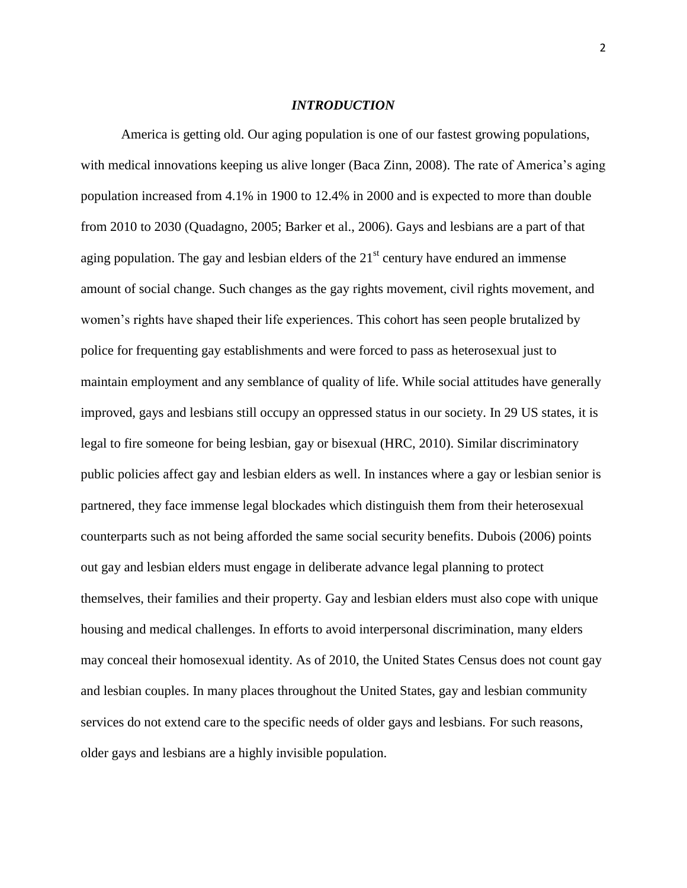#### *INTRODUCTION*

America is getting old. Our aging population is one of our fastest growing populations, with medical innovations keeping us alive longer (Baca Zinn, 2008). The rate of America's aging population increased from 4.1% in 1900 to 12.4% in 2000 and is expected to more than double from 2010 to 2030 (Quadagno, 2005; Barker et al., 2006). Gays and lesbians are a part of that aging population. The gay and lesbian elders of the  $21<sup>st</sup>$  century have endured an immense amount of social change. Such changes as the gay rights movement, civil rights movement, and women"s rights have shaped their life experiences. This cohort has seen people brutalized by police for frequenting gay establishments and were forced to pass as heterosexual just to maintain employment and any semblance of quality of life. While social attitudes have generally improved, gays and lesbians still occupy an oppressed status in our society. In 29 US states, it is legal to fire someone for being lesbian, gay or bisexual (HRC, 2010). Similar discriminatory public policies affect gay and lesbian elders as well. In instances where a gay or lesbian senior is partnered, they face immense legal blockades which distinguish them from their heterosexual counterparts such as not being afforded the same social security benefits. Dubois (2006) points out gay and lesbian elders must engage in deliberate advance legal planning to protect themselves, their families and their property. Gay and lesbian elders must also cope with unique housing and medical challenges. In efforts to avoid interpersonal discrimination, many elders may conceal their homosexual identity. As of 2010, the United States Census does not count gay and lesbian couples. In many places throughout the United States, gay and lesbian community services do not extend care to the specific needs of older gays and lesbians. For such reasons, older gays and lesbians are a highly invisible population.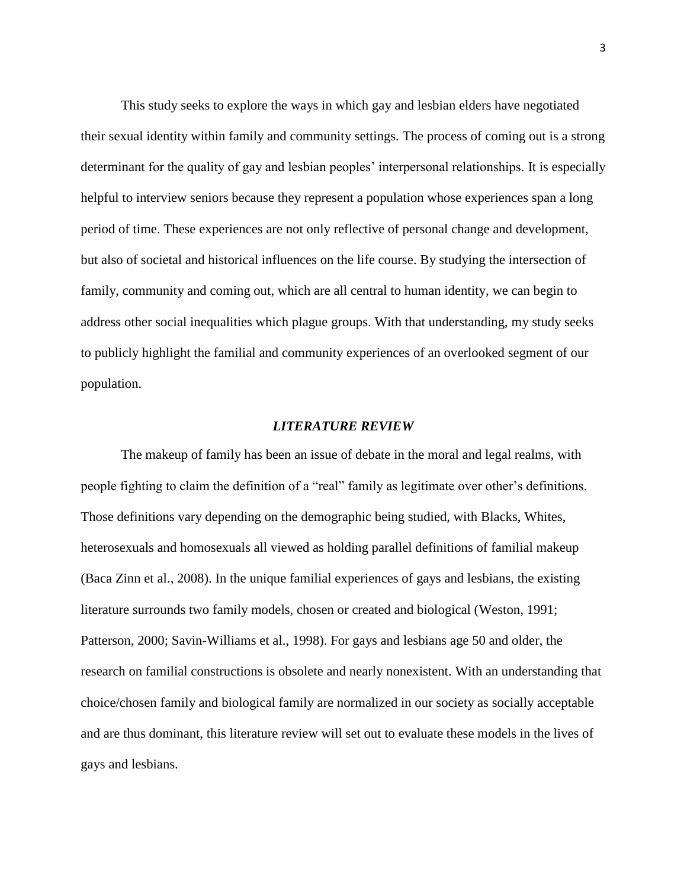This study seeks to explore the ways in which gay and lesbian elders have negotiated their sexual identity within family and community settings. The process of coming out is a strong determinant for the quality of gay and lesbian peoples' interpersonal relationships. It is especially helpful to interview seniors because they represent a population whose experiences span a long period of time. These experiences are not only reflective of personal change and development, but also of societal and historical influences on the life course. By studying the intersection of family, community and coming out, which are all central to human identity, we can begin to address other social inequalities which plague groups. With that understanding, my study seeks to publicly highlight the familial and community experiences of an overlooked segment of our population.

#### *LITERATURE REVIEW*

The makeup of family has been an issue of debate in the moral and legal realms, with people fighting to claim the definition of a "real" family as legitimate over other's definitions. Those definitions vary depending on the demographic being studied, with Blacks, Whites, heterosexuals and homosexuals all viewed as holding parallel definitions of familial makeup (Baca Zinn et al., 2008). In the unique familial experiences of gays and lesbians, the existing literature surrounds two family models, chosen or created and biological (Weston, 1991; Patterson, 2000; Savin-Williams et al., 1998). For gays and lesbians age 50 and older, the research on familial constructions is obsolete and nearly nonexistent. With an understanding that choice/chosen family and biological family are normalized in our society as socially acceptable and are thus dominant, this literature review will set out to evaluate these models in the lives of gays and lesbians.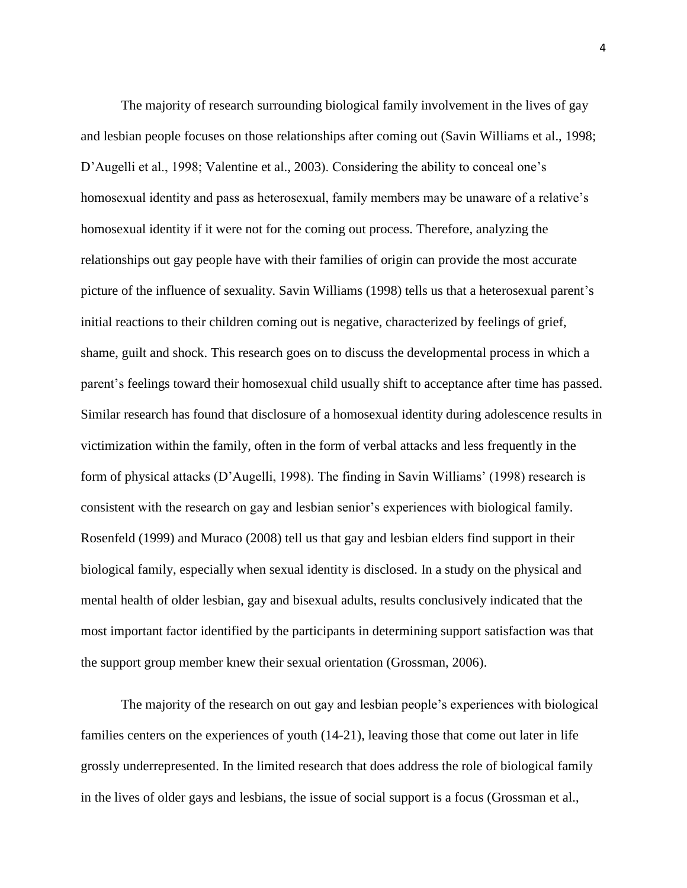The majority of research surrounding biological family involvement in the lives of gay and lesbian people focuses on those relationships after coming out (Savin Williams et al., 1998; D'Augelli et al., 1998; Valentine et al., 2003). Considering the ability to conceal one's homosexual identity and pass as heterosexual, family members may be unaware of a relative's homosexual identity if it were not for the coming out process. Therefore, analyzing the relationships out gay people have with their families of origin can provide the most accurate picture of the influence of sexuality. Savin Williams (1998) tells us that a heterosexual parent's initial reactions to their children coming out is negative, characterized by feelings of grief, shame, guilt and shock. This research goes on to discuss the developmental process in which a parent"s feelings toward their homosexual child usually shift to acceptance after time has passed. Similar research has found that disclosure of a homosexual identity during adolescence results in victimization within the family, often in the form of verbal attacks and less frequently in the form of physical attacks (D"Augelli, 1998). The finding in Savin Williams" (1998) research is consistent with the research on gay and lesbian senior"s experiences with biological family. Rosenfeld (1999) and Muraco (2008) tell us that gay and lesbian elders find support in their biological family, especially when sexual identity is disclosed. In a study on the physical and mental health of older lesbian, gay and bisexual adults, results conclusively indicated that the most important factor identified by the participants in determining support satisfaction was that the support group member knew their sexual orientation (Grossman, 2006).

The majority of the research on out gay and lesbian people"s experiences with biological families centers on the experiences of youth (14-21), leaving those that come out later in life grossly underrepresented. In the limited research that does address the role of biological family in the lives of older gays and lesbians, the issue of social support is a focus (Grossman et al.,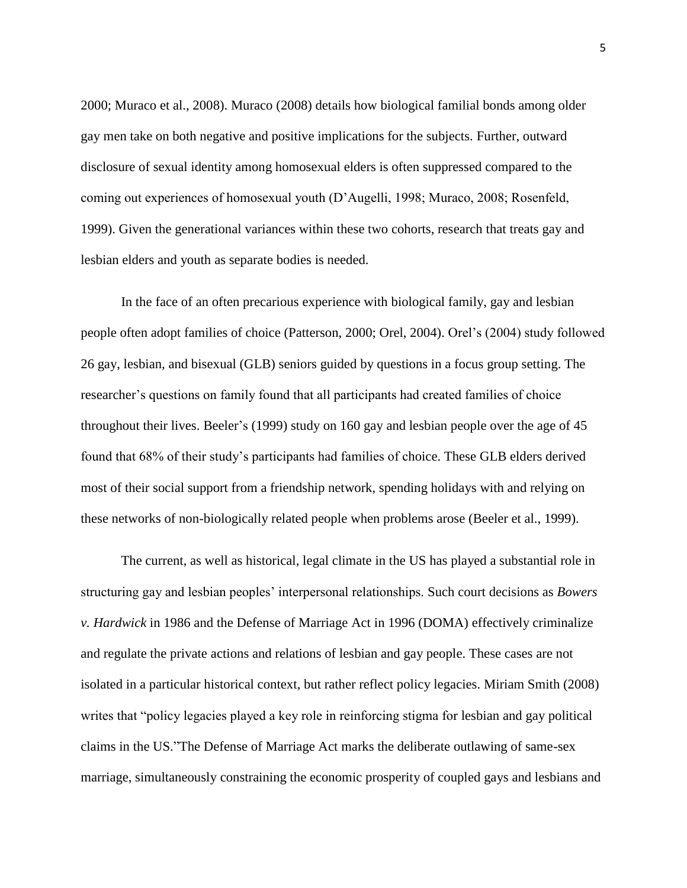2000; Muraco et al., 2008). Muraco (2008) details how biological familial bonds among older gay men take on both negative and positive implications for the subjects. Further, outward disclosure of sexual identity among homosexual elders is often suppressed compared to the coming out experiences of homosexual youth (D"Augelli, 1998; Muraco, 2008; Rosenfeld, 1999). Given the generational variances within these two cohorts, research that treats gay and lesbian elders and youth as separate bodies is needed.

In the face of an often precarious experience with biological family, gay and lesbian people often adopt families of choice (Patterson, 2000; Orel, 2004). Orel"s (2004) study followed 26 gay, lesbian, and bisexual (GLB) seniors guided by questions in a focus group setting. The researcher"s questions on family found that all participants had created families of choice throughout their lives. Beeler"s (1999) study on 160 gay and lesbian people over the age of 45 found that 68% of their study"s participants had families of choice. These GLB elders derived most of their social support from a friendship network, spending holidays with and relying on these networks of non-biologically related people when problems arose (Beeler et al., 1999).

The current, as well as historical, legal climate in the US has played a substantial role in structuring gay and lesbian peoples" interpersonal relationships. Such court decisions as *Bowers v. Hardwick* in 1986 and the Defense of Marriage Act in 1996 (DOMA) effectively criminalize and regulate the private actions and relations of lesbian and gay people. These cases are not isolated in a particular historical context, but rather reflect policy legacies. Miriam Smith (2008) writes that "policy legacies played a key role in reinforcing stigma for lesbian and gay political claims in the US."The Defense of Marriage Act marks the deliberate outlawing of same-sex marriage, simultaneously constraining the economic prosperity of coupled gays and lesbians and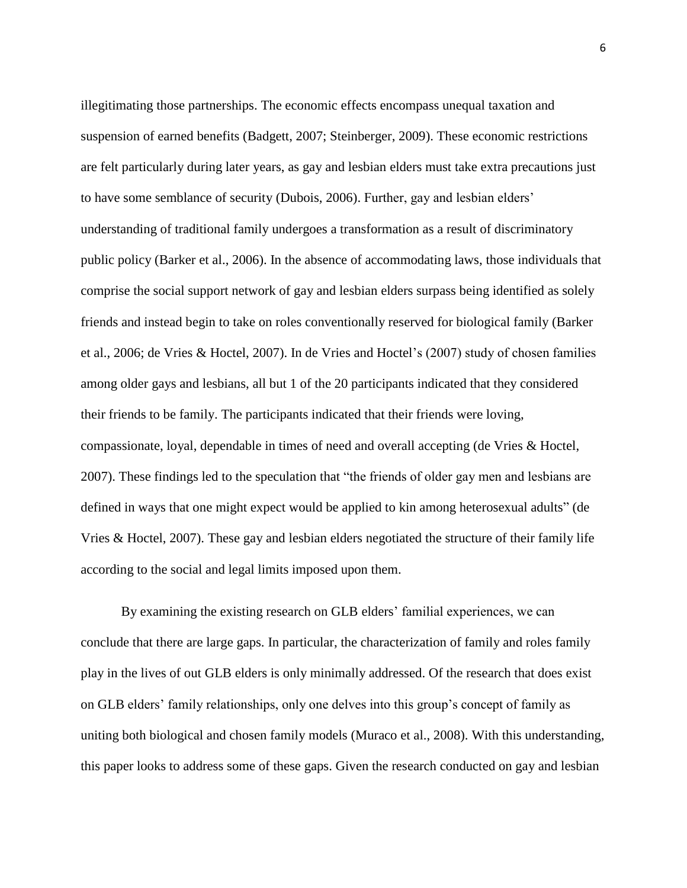illegitimating those partnerships. The economic effects encompass unequal taxation and suspension of earned benefits (Badgett, 2007; Steinberger, 2009). These economic restrictions are felt particularly during later years, as gay and lesbian elders must take extra precautions just to have some semblance of security (Dubois, 2006). Further, gay and lesbian elders" understanding of traditional family undergoes a transformation as a result of discriminatory public policy (Barker et al., 2006). In the absence of accommodating laws, those individuals that comprise the social support network of gay and lesbian elders surpass being identified as solely friends and instead begin to take on roles conventionally reserved for biological family (Barker et al., 2006; de Vries & Hoctel, 2007). In de Vries and Hoctel"s (2007) study of chosen families among older gays and lesbians, all but 1 of the 20 participants indicated that they considered their friends to be family. The participants indicated that their friends were loving, compassionate, loyal, dependable in times of need and overall accepting (de Vries & Hoctel, 2007). These findings led to the speculation that "the friends of older gay men and lesbians are defined in ways that one might expect would be applied to kin among heterosexual adults" (de Vries & Hoctel, 2007). These gay and lesbian elders negotiated the structure of their family life according to the social and legal limits imposed upon them.

By examining the existing research on GLB elders' familial experiences, we can conclude that there are large gaps. In particular, the characterization of family and roles family play in the lives of out GLB elders is only minimally addressed. Of the research that does exist on GLB elders' family relationships, only one delves into this group's concept of family as uniting both biological and chosen family models (Muraco et al., 2008). With this understanding, this paper looks to address some of these gaps. Given the research conducted on gay and lesbian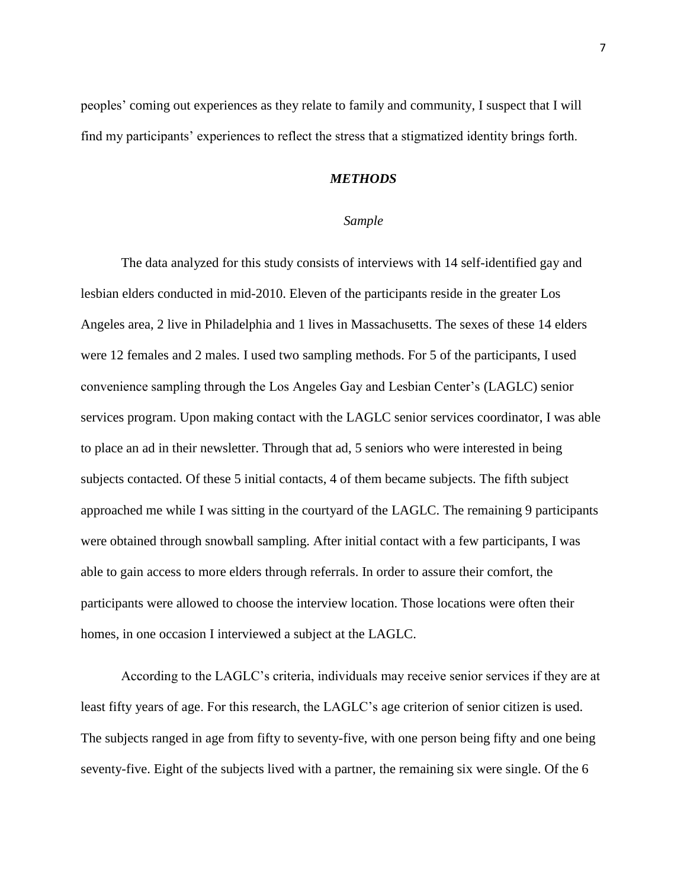peoples" coming out experiences as they relate to family and community, I suspect that I will find my participants" experiences to reflect the stress that a stigmatized identity brings forth.

## *METHODS*

#### *Sample*

The data analyzed for this study consists of interviews with 14 self-identified gay and lesbian elders conducted in mid-2010. Eleven of the participants reside in the greater Los Angeles area, 2 live in Philadelphia and 1 lives in Massachusetts. The sexes of these 14 elders were 12 females and 2 males. I used two sampling methods. For 5 of the participants, I used convenience sampling through the Los Angeles Gay and Lesbian Center"s (LAGLC) senior services program. Upon making contact with the LAGLC senior services coordinator, I was able to place an ad in their newsletter. Through that ad, 5 seniors who were interested in being subjects contacted. Of these 5 initial contacts, 4 of them became subjects. The fifth subject approached me while I was sitting in the courtyard of the LAGLC. The remaining 9 participants were obtained through snowball sampling. After initial contact with a few participants, I was able to gain access to more elders through referrals. In order to assure their comfort, the participants were allowed to choose the interview location. Those locations were often their homes, in one occasion I interviewed a subject at the LAGLC.

According to the LAGLC"s criteria, individuals may receive senior services if they are at least fifty years of age. For this research, the LAGLC"s age criterion of senior citizen is used. The subjects ranged in age from fifty to seventy-five, with one person being fifty and one being seventy-five. Eight of the subjects lived with a partner, the remaining six were single. Of the 6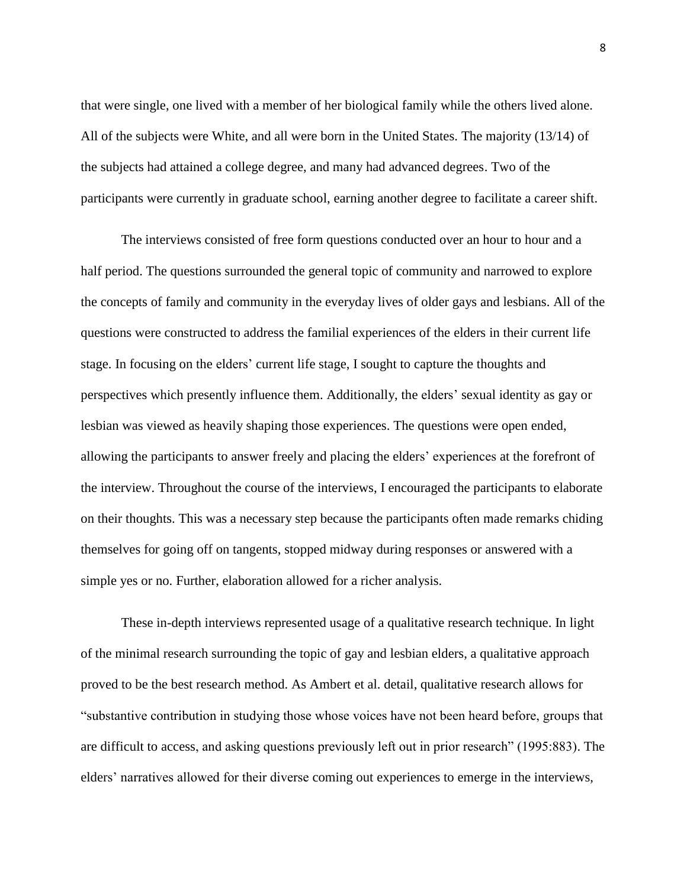that were single, one lived with a member of her biological family while the others lived alone. All of the subjects were White, and all were born in the United States. The majority (13/14) of the subjects had attained a college degree, and many had advanced degrees. Two of the participants were currently in graduate school, earning another degree to facilitate a career shift.

The interviews consisted of free form questions conducted over an hour to hour and a half period. The questions surrounded the general topic of community and narrowed to explore the concepts of family and community in the everyday lives of older gays and lesbians. All of the questions were constructed to address the familial experiences of the elders in their current life stage. In focusing on the elders" current life stage, I sought to capture the thoughts and perspectives which presently influence them. Additionally, the elders" sexual identity as gay or lesbian was viewed as heavily shaping those experiences. The questions were open ended, allowing the participants to answer freely and placing the elders" experiences at the forefront of the interview. Throughout the course of the interviews, I encouraged the participants to elaborate on their thoughts. This was a necessary step because the participants often made remarks chiding themselves for going off on tangents, stopped midway during responses or answered with a simple yes or no. Further, elaboration allowed for a richer analysis.

These in-depth interviews represented usage of a qualitative research technique. In light of the minimal research surrounding the topic of gay and lesbian elders, a qualitative approach proved to be the best research method. As Ambert et al. detail, qualitative research allows for "substantive contribution in studying those whose voices have not been heard before, groups that are difficult to access, and asking questions previously left out in prior research" (1995:883). The elders" narratives allowed for their diverse coming out experiences to emerge in the interviews,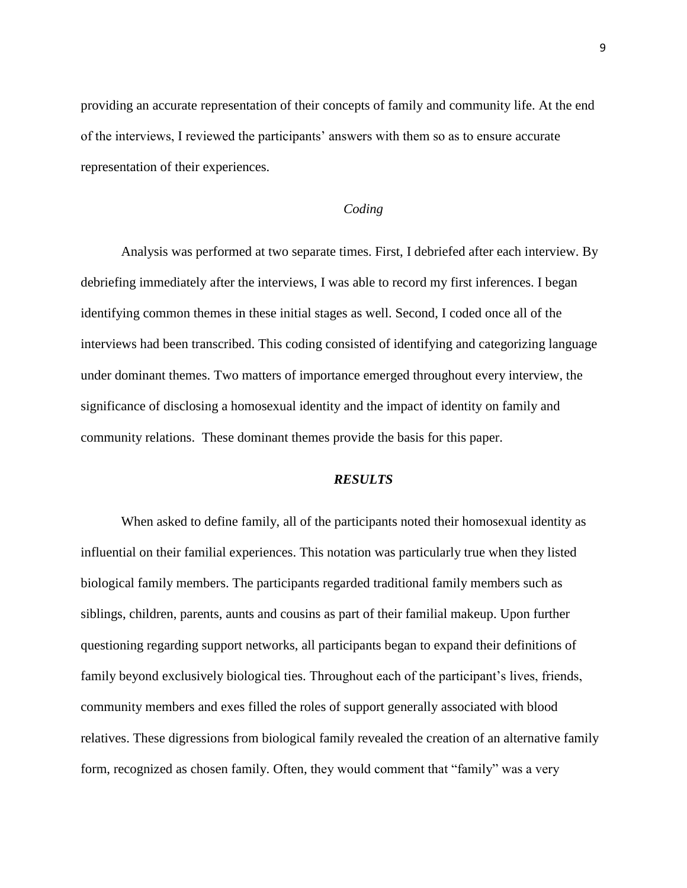providing an accurate representation of their concepts of family and community life. At the end of the interviews, I reviewed the participants" answers with them so as to ensure accurate representation of their experiences.

#### *Coding*

Analysis was performed at two separate times. First, I debriefed after each interview. By debriefing immediately after the interviews, I was able to record my first inferences. I began identifying common themes in these initial stages as well. Second, I coded once all of the interviews had been transcribed. This coding consisted of identifying and categorizing language under dominant themes. Two matters of importance emerged throughout every interview, the significance of disclosing a homosexual identity and the impact of identity on family and community relations. These dominant themes provide the basis for this paper.

#### *RESULTS*

When asked to define family, all of the participants noted their homosexual identity as influential on their familial experiences. This notation was particularly true when they listed biological family members. The participants regarded traditional family members such as siblings, children, parents, aunts and cousins as part of their familial makeup. Upon further questioning regarding support networks, all participants began to expand their definitions of family beyond exclusively biological ties. Throughout each of the participant"s lives, friends, community members and exes filled the roles of support generally associated with blood relatives. These digressions from biological family revealed the creation of an alternative family form, recognized as chosen family. Often, they would comment that "family" was a very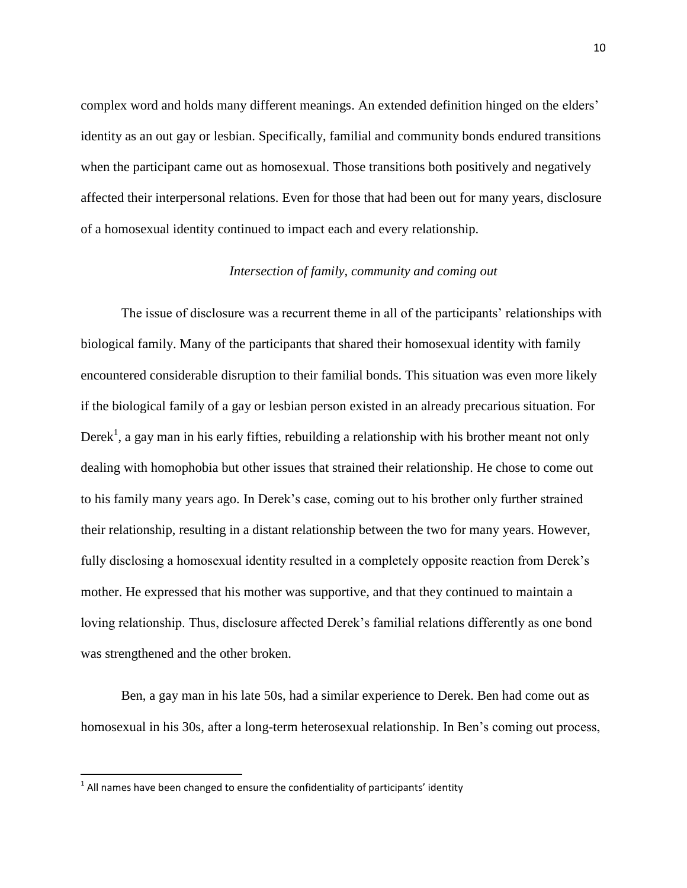complex word and holds many different meanings. An extended definition hinged on the elders' identity as an out gay or lesbian. Specifically, familial and community bonds endured transitions when the participant came out as homosexual. Those transitions both positively and negatively affected their interpersonal relations. Even for those that had been out for many years, disclosure of a homosexual identity continued to impact each and every relationship.

## *Intersection of family, community and coming out*

The issue of disclosure was a recurrent theme in all of the participants' relationships with biological family. Many of the participants that shared their homosexual identity with family encountered considerable disruption to their familial bonds. This situation was even more likely if the biological family of a gay or lesbian person existed in an already precarious situation. For Derek<sup>1</sup>, a gay man in his early fifties, rebuilding a relationship with his brother meant not only dealing with homophobia but other issues that strained their relationship. He chose to come out to his family many years ago. In Derek"s case, coming out to his brother only further strained their relationship, resulting in a distant relationship between the two for many years. However, fully disclosing a homosexual identity resulted in a completely opposite reaction from Derek's mother. He expressed that his mother was supportive, and that they continued to maintain a loving relationship. Thus, disclosure affected Derek"s familial relations differently as one bond was strengthened and the other broken.

Ben, a gay man in his late 50s, had a similar experience to Derek. Ben had come out as homosexual in his 30s, after a long-term heterosexual relationship. In Ben's coming out process,

 1 All names have been changed to ensure the confidentiality of participants' identity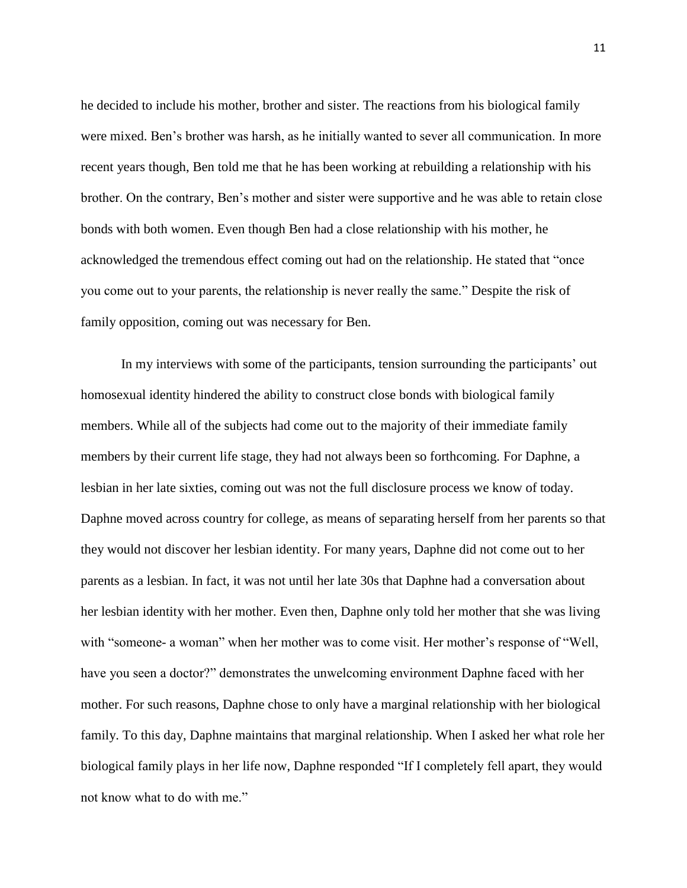he decided to include his mother, brother and sister. The reactions from his biological family were mixed. Ben"s brother was harsh, as he initially wanted to sever all communication. In more recent years though, Ben told me that he has been working at rebuilding a relationship with his brother. On the contrary, Ben"s mother and sister were supportive and he was able to retain close bonds with both women. Even though Ben had a close relationship with his mother, he acknowledged the tremendous effect coming out had on the relationship. He stated that "once you come out to your parents, the relationship is never really the same." Despite the risk of family opposition, coming out was necessary for Ben.

In my interviews with some of the participants, tension surrounding the participants' out homosexual identity hindered the ability to construct close bonds with biological family members. While all of the subjects had come out to the majority of their immediate family members by their current life stage, they had not always been so forthcoming. For Daphne, a lesbian in her late sixties, coming out was not the full disclosure process we know of today. Daphne moved across country for college, as means of separating herself from her parents so that they would not discover her lesbian identity. For many years, Daphne did not come out to her parents as a lesbian. In fact, it was not until her late 30s that Daphne had a conversation about her lesbian identity with her mother. Even then, Daphne only told her mother that she was living with "someone- a woman" when her mother was to come visit. Her mother's response of "Well, have you seen a doctor?" demonstrates the unwelcoming environment Daphne faced with her mother. For such reasons, Daphne chose to only have a marginal relationship with her biological family. To this day, Daphne maintains that marginal relationship. When I asked her what role her biological family plays in her life now, Daphne responded "If I completely fell apart, they would not know what to do with me."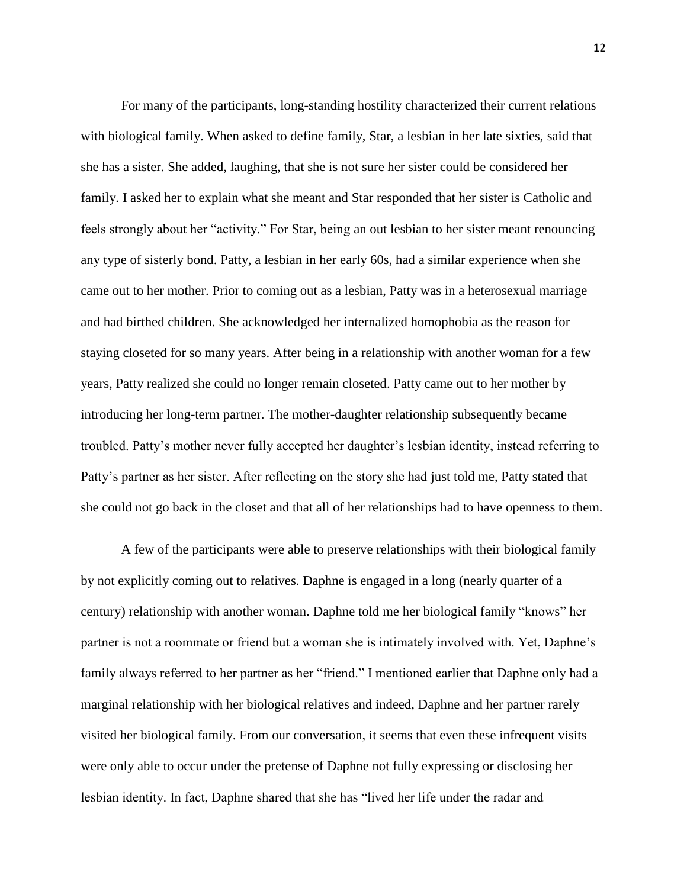For many of the participants, long-standing hostility characterized their current relations with biological family. When asked to define family, Star, a lesbian in her late sixties, said that she has a sister. She added, laughing, that she is not sure her sister could be considered her family. I asked her to explain what she meant and Star responded that her sister is Catholic and feels strongly about her "activity." For Star, being an out lesbian to her sister meant renouncing any type of sisterly bond. Patty, a lesbian in her early 60s, had a similar experience when she came out to her mother. Prior to coming out as a lesbian, Patty was in a heterosexual marriage and had birthed children. She acknowledged her internalized homophobia as the reason for staying closeted for so many years. After being in a relationship with another woman for a few years, Patty realized she could no longer remain closeted. Patty came out to her mother by introducing her long-term partner. The mother-daughter relationship subsequently became troubled. Patty"s mother never fully accepted her daughter"s lesbian identity, instead referring to Patty"s partner as her sister. After reflecting on the story she had just told me, Patty stated that she could not go back in the closet and that all of her relationships had to have openness to them.

A few of the participants were able to preserve relationships with their biological family by not explicitly coming out to relatives. Daphne is engaged in a long (nearly quarter of a century) relationship with another woman. Daphne told me her biological family "knows" her partner is not a roommate or friend but a woman she is intimately involved with. Yet, Daphne"s family always referred to her partner as her "friend." I mentioned earlier that Daphne only had a marginal relationship with her biological relatives and indeed, Daphne and her partner rarely visited her biological family. From our conversation, it seems that even these infrequent visits were only able to occur under the pretense of Daphne not fully expressing or disclosing her lesbian identity. In fact, Daphne shared that she has "lived her life under the radar and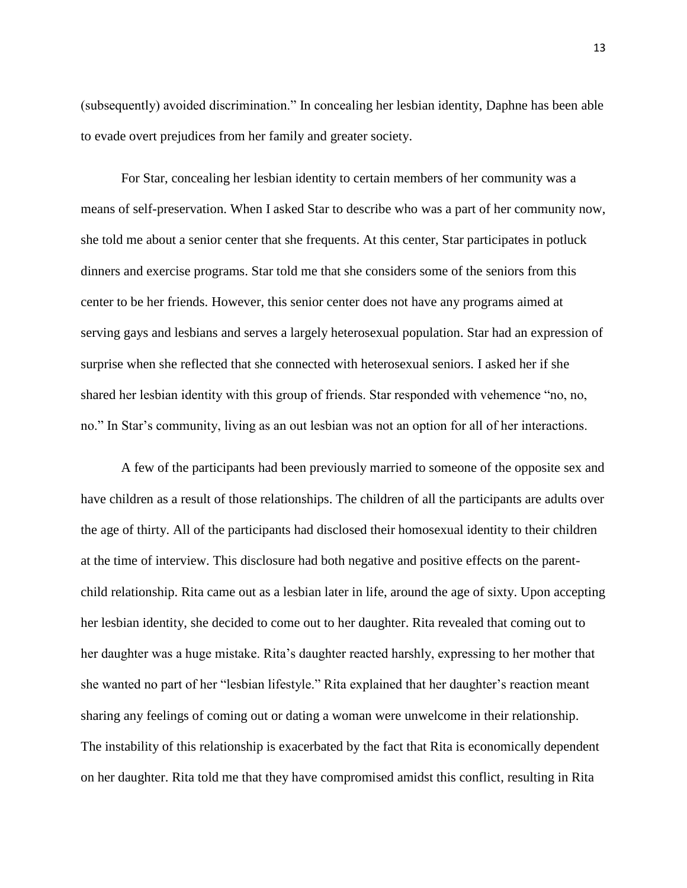(subsequently) avoided discrimination." In concealing her lesbian identity, Daphne has been able to evade overt prejudices from her family and greater society.

For Star, concealing her lesbian identity to certain members of her community was a means of self-preservation. When I asked Star to describe who was a part of her community now, she told me about a senior center that she frequents. At this center, Star participates in potluck dinners and exercise programs. Star told me that she considers some of the seniors from this center to be her friends. However, this senior center does not have any programs aimed at serving gays and lesbians and serves a largely heterosexual population. Star had an expression of surprise when she reflected that she connected with heterosexual seniors. I asked her if she shared her lesbian identity with this group of friends. Star responded with vehemence "no, no, no." In Star's community, living as an out lesbian was not an option for all of her interactions.

A few of the participants had been previously married to someone of the opposite sex and have children as a result of those relationships. The children of all the participants are adults over the age of thirty. All of the participants had disclosed their homosexual identity to their children at the time of interview. This disclosure had both negative and positive effects on the parentchild relationship. Rita came out as a lesbian later in life, around the age of sixty. Upon accepting her lesbian identity, she decided to come out to her daughter. Rita revealed that coming out to her daughter was a huge mistake. Rita"s daughter reacted harshly, expressing to her mother that she wanted no part of her "lesbian lifestyle." Rita explained that her daughter's reaction meant sharing any feelings of coming out or dating a woman were unwelcome in their relationship. The instability of this relationship is exacerbated by the fact that Rita is economically dependent on her daughter. Rita told me that they have compromised amidst this conflict, resulting in Rita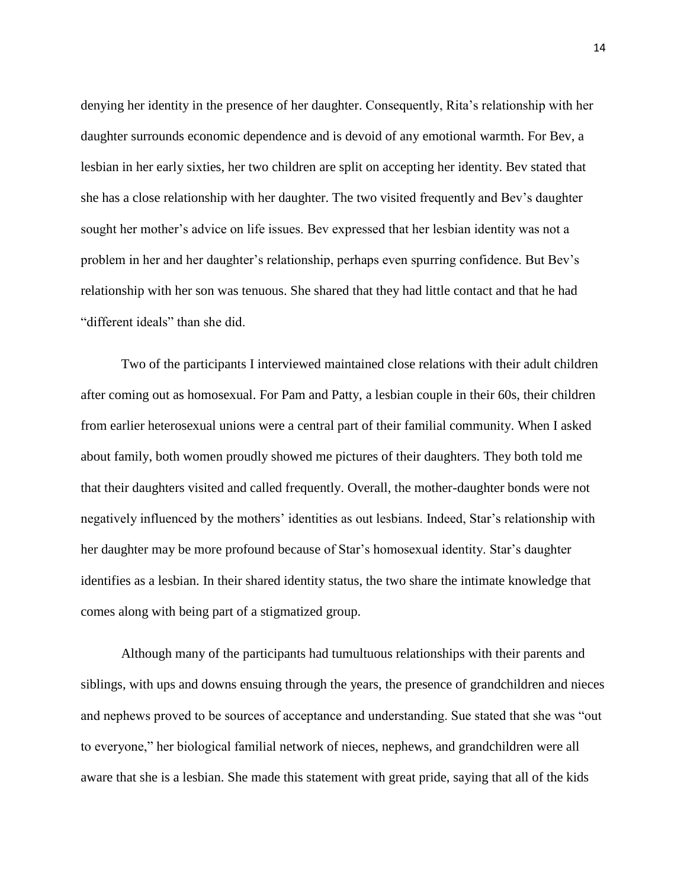denying her identity in the presence of her daughter. Consequently, Rita"s relationship with her daughter surrounds economic dependence and is devoid of any emotional warmth. For Bev, a lesbian in her early sixties, her two children are split on accepting her identity. Bev stated that she has a close relationship with her daughter. The two visited frequently and Bev"s daughter sought her mother's advice on life issues. Bev expressed that her lesbian identity was not a problem in her and her daughter"s relationship, perhaps even spurring confidence. But Bev"s relationship with her son was tenuous. She shared that they had little contact and that he had "different ideals" than she did.

Two of the participants I interviewed maintained close relations with their adult children after coming out as homosexual. For Pam and Patty, a lesbian couple in their 60s, their children from earlier heterosexual unions were a central part of their familial community. When I asked about family, both women proudly showed me pictures of their daughters. They both told me that their daughters visited and called frequently. Overall, the mother-daughter bonds were not negatively influenced by the mothers' identities as out lesbians. Indeed, Star's relationship with her daughter may be more profound because of Star"s homosexual identity. Star"s daughter identifies as a lesbian. In their shared identity status, the two share the intimate knowledge that comes along with being part of a stigmatized group.

Although many of the participants had tumultuous relationships with their parents and siblings, with ups and downs ensuing through the years, the presence of grandchildren and nieces and nephews proved to be sources of acceptance and understanding. Sue stated that she was "out to everyone," her biological familial network of nieces, nephews, and grandchildren were all aware that she is a lesbian. She made this statement with great pride, saying that all of the kids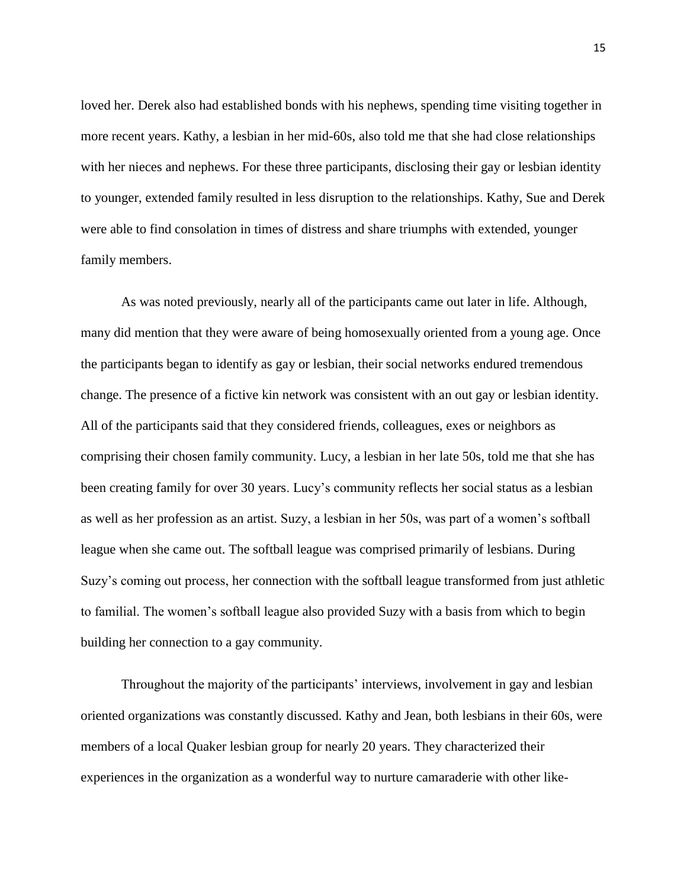loved her. Derek also had established bonds with his nephews, spending time visiting together in more recent years. Kathy, a lesbian in her mid-60s, also told me that she had close relationships with her nieces and nephews. For these three participants, disclosing their gay or lesbian identity to younger, extended family resulted in less disruption to the relationships. Kathy, Sue and Derek were able to find consolation in times of distress and share triumphs with extended, younger family members.

As was noted previously, nearly all of the participants came out later in life. Although, many did mention that they were aware of being homosexually oriented from a young age. Once the participants began to identify as gay or lesbian, their social networks endured tremendous change. The presence of a fictive kin network was consistent with an out gay or lesbian identity. All of the participants said that they considered friends, colleagues, exes or neighbors as comprising their chosen family community. Lucy, a lesbian in her late 50s, told me that she has been creating family for over 30 years. Lucy"s community reflects her social status as a lesbian as well as her profession as an artist. Suzy, a lesbian in her 50s, was part of a women"s softball league when she came out. The softball league was comprised primarily of lesbians. During Suzy"s coming out process, her connection with the softball league transformed from just athletic to familial. The women"s softball league also provided Suzy with a basis from which to begin building her connection to a gay community.

Throughout the majority of the participants' interviews, involvement in gay and lesbian oriented organizations was constantly discussed. Kathy and Jean, both lesbians in their 60s, were members of a local Quaker lesbian group for nearly 20 years. They characterized their experiences in the organization as a wonderful way to nurture camaraderie with other like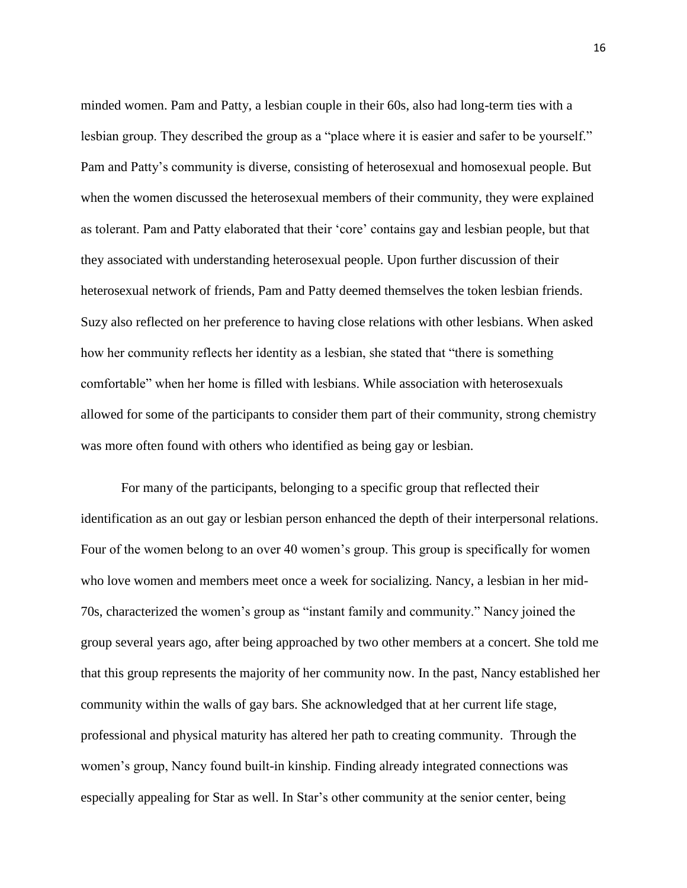minded women. Pam and Patty, a lesbian couple in their 60s, also had long-term ties with a lesbian group. They described the group as a "place where it is easier and safer to be yourself." Pam and Patty"s community is diverse, consisting of heterosexual and homosexual people. But when the women discussed the heterosexual members of their community, they were explained as tolerant. Pam and Patty elaborated that their "core" contains gay and lesbian people, but that they associated with understanding heterosexual people. Upon further discussion of their heterosexual network of friends, Pam and Patty deemed themselves the token lesbian friends. Suzy also reflected on her preference to having close relations with other lesbians. When asked how her community reflects her identity as a lesbian, she stated that "there is something comfortable" when her home is filled with lesbians. While association with heterosexuals allowed for some of the participants to consider them part of their community, strong chemistry was more often found with others who identified as being gay or lesbian.

For many of the participants, belonging to a specific group that reflected their identification as an out gay or lesbian person enhanced the depth of their interpersonal relations. Four of the women belong to an over 40 women's group. This group is specifically for women who love women and members meet once a week for socializing. Nancy, a lesbian in her mid-70s, characterized the women"s group as "instant family and community." Nancy joined the group several years ago, after being approached by two other members at a concert. She told me that this group represents the majority of her community now. In the past, Nancy established her community within the walls of gay bars. She acknowledged that at her current life stage, professional and physical maturity has altered her path to creating community. Through the women"s group, Nancy found built-in kinship. Finding already integrated connections was especially appealing for Star as well. In Star"s other community at the senior center, being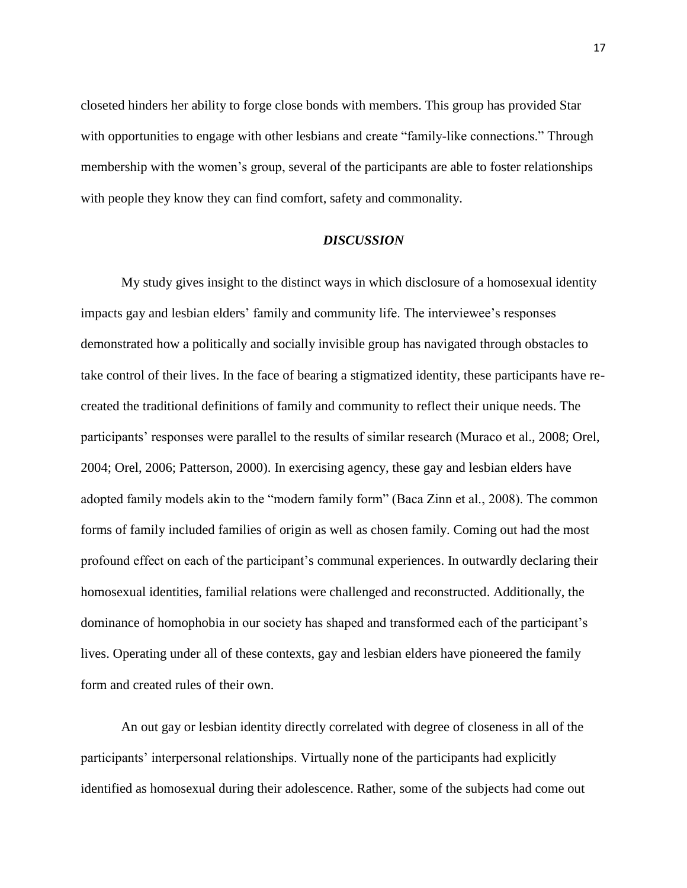closeted hinders her ability to forge close bonds with members. This group has provided Star with opportunities to engage with other lesbians and create "family-like connections." Through membership with the women"s group, several of the participants are able to foster relationships with people they know they can find comfort, safety and commonality.

#### *DISCUSSION*

My study gives insight to the distinct ways in which disclosure of a homosexual identity impacts gay and lesbian elders' family and community life. The interviewee's responses demonstrated how a politically and socially invisible group has navigated through obstacles to take control of their lives. In the face of bearing a stigmatized identity, these participants have recreated the traditional definitions of family and community to reflect their unique needs. The participants' responses were parallel to the results of similar research (Muraco et al., 2008; Orel, 2004; Orel, 2006; Patterson, 2000). In exercising agency, these gay and lesbian elders have adopted family models akin to the "modern family form" (Baca Zinn et al., 2008). The common forms of family included families of origin as well as chosen family. Coming out had the most profound effect on each of the participant's communal experiences. In outwardly declaring their homosexual identities, familial relations were challenged and reconstructed. Additionally, the dominance of homophobia in our society has shaped and transformed each of the participant's lives. Operating under all of these contexts, gay and lesbian elders have pioneered the family form and created rules of their own.

An out gay or lesbian identity directly correlated with degree of closeness in all of the participants' interpersonal relationships. Virtually none of the participants had explicitly identified as homosexual during their adolescence. Rather, some of the subjects had come out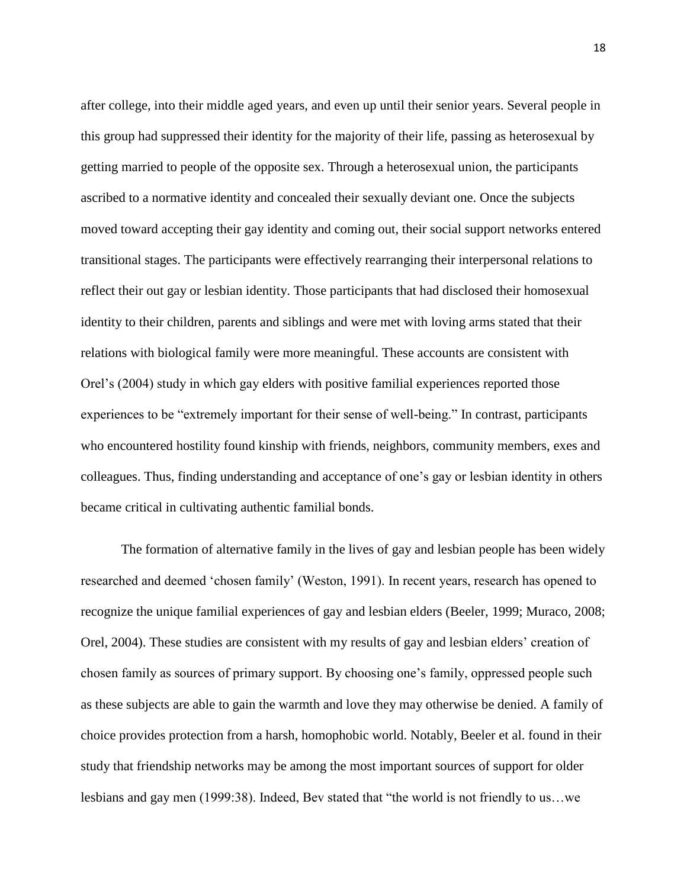after college, into their middle aged years, and even up until their senior years. Several people in this group had suppressed their identity for the majority of their life, passing as heterosexual by getting married to people of the opposite sex. Through a heterosexual union, the participants ascribed to a normative identity and concealed their sexually deviant one. Once the subjects moved toward accepting their gay identity and coming out, their social support networks entered transitional stages. The participants were effectively rearranging their interpersonal relations to reflect their out gay or lesbian identity. Those participants that had disclosed their homosexual identity to their children, parents and siblings and were met with loving arms stated that their relations with biological family were more meaningful. These accounts are consistent with Orel"s (2004) study in which gay elders with positive familial experiences reported those experiences to be "extremely important for their sense of well-being." In contrast, participants who encountered hostility found kinship with friends, neighbors, community members, exes and colleagues. Thus, finding understanding and acceptance of one"s gay or lesbian identity in others became critical in cultivating authentic familial bonds.

The formation of alternative family in the lives of gay and lesbian people has been widely researched and deemed "chosen family" (Weston, 1991). In recent years, research has opened to recognize the unique familial experiences of gay and lesbian elders (Beeler, 1999; Muraco, 2008; Orel, 2004). These studies are consistent with my results of gay and lesbian elders" creation of chosen family as sources of primary support. By choosing one"s family, oppressed people such as these subjects are able to gain the warmth and love they may otherwise be denied. A family of choice provides protection from a harsh, homophobic world. Notably, Beeler et al. found in their study that friendship networks may be among the most important sources of support for older lesbians and gay men (1999:38). Indeed, Bev stated that "the world is not friendly to us…we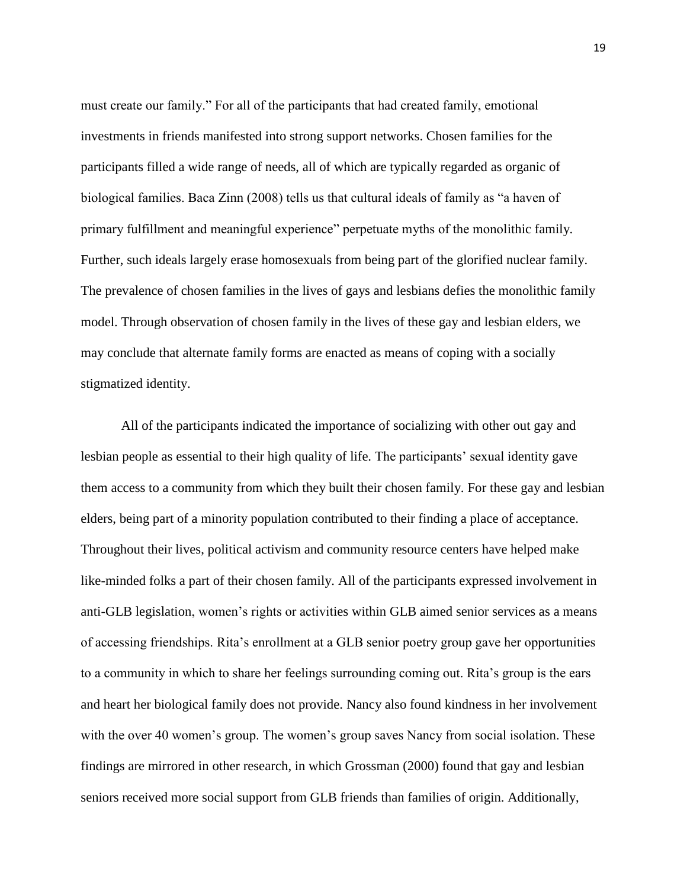must create our family." For all of the participants that had created family, emotional investments in friends manifested into strong support networks. Chosen families for the participants filled a wide range of needs, all of which are typically regarded as organic of biological families. Baca Zinn (2008) tells us that cultural ideals of family as "a haven of primary fulfillment and meaningful experience" perpetuate myths of the monolithic family. Further, such ideals largely erase homosexuals from being part of the glorified nuclear family. The prevalence of chosen families in the lives of gays and lesbians defies the monolithic family model. Through observation of chosen family in the lives of these gay and lesbian elders, we may conclude that alternate family forms are enacted as means of coping with a socially stigmatized identity.

All of the participants indicated the importance of socializing with other out gay and lesbian people as essential to their high quality of life. The participants" sexual identity gave them access to a community from which they built their chosen family. For these gay and lesbian elders, being part of a minority population contributed to their finding a place of acceptance. Throughout their lives, political activism and community resource centers have helped make like-minded folks a part of their chosen family. All of the participants expressed involvement in anti-GLB legislation, women's rights or activities within GLB aimed senior services as a means of accessing friendships. Rita"s enrollment at a GLB senior poetry group gave her opportunities to a community in which to share her feelings surrounding coming out. Rita"s group is the ears and heart her biological family does not provide. Nancy also found kindness in her involvement with the over 40 women's group. The women's group saves Nancy from social isolation. These findings are mirrored in other research, in which Grossman (2000) found that gay and lesbian seniors received more social support from GLB friends than families of origin. Additionally,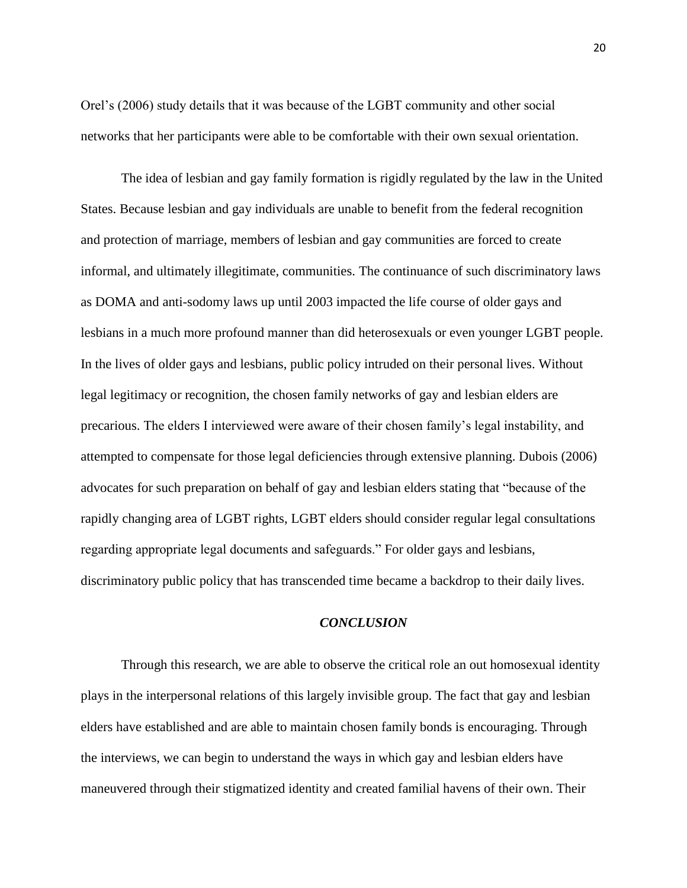Orel"s (2006) study details that it was because of the LGBT community and other social networks that her participants were able to be comfortable with their own sexual orientation.

The idea of lesbian and gay family formation is rigidly regulated by the law in the United States. Because lesbian and gay individuals are unable to benefit from the federal recognition and protection of marriage, members of lesbian and gay communities are forced to create informal, and ultimately illegitimate, communities. The continuance of such discriminatory laws as DOMA and anti-sodomy laws up until 2003 impacted the life course of older gays and lesbians in a much more profound manner than did heterosexuals or even younger LGBT people. In the lives of older gays and lesbians, public policy intruded on their personal lives. Without legal legitimacy or recognition, the chosen family networks of gay and lesbian elders are precarious. The elders I interviewed were aware of their chosen family"s legal instability, and attempted to compensate for those legal deficiencies through extensive planning. Dubois (2006) advocates for such preparation on behalf of gay and lesbian elders stating that "because of the rapidly changing area of LGBT rights, LGBT elders should consider regular legal consultations regarding appropriate legal documents and safeguards." For older gays and lesbians, discriminatory public policy that has transcended time became a backdrop to their daily lives.

## *CONCLUSION*

Through this research, we are able to observe the critical role an out homosexual identity plays in the interpersonal relations of this largely invisible group. The fact that gay and lesbian elders have established and are able to maintain chosen family bonds is encouraging. Through the interviews, we can begin to understand the ways in which gay and lesbian elders have maneuvered through their stigmatized identity and created familial havens of their own. Their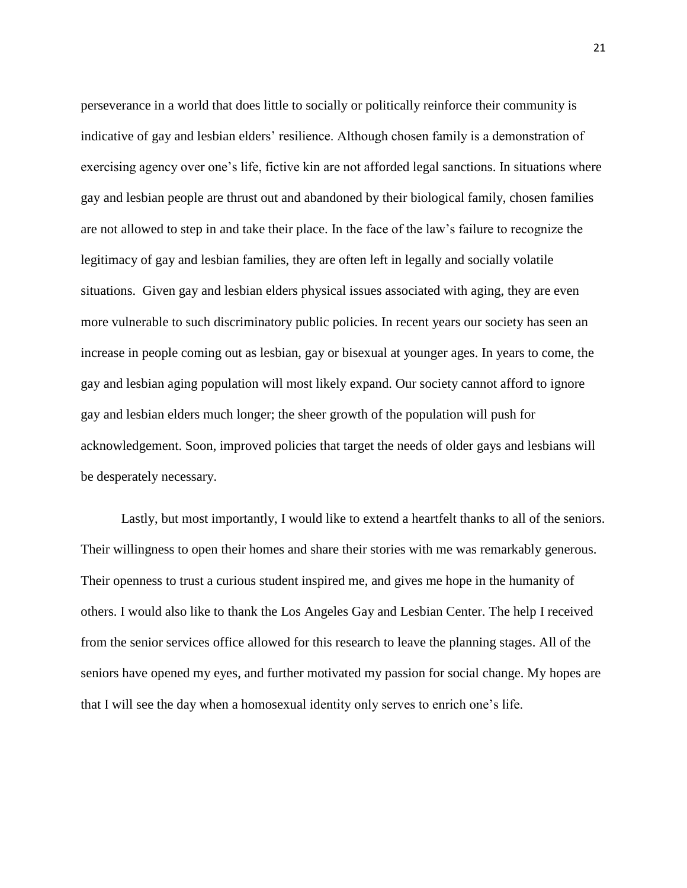perseverance in a world that does little to socially or politically reinforce their community is indicative of gay and lesbian elders' resilience. Although chosen family is a demonstration of exercising agency over one's life, fictive kin are not afforded legal sanctions. In situations where gay and lesbian people are thrust out and abandoned by their biological family, chosen families are not allowed to step in and take their place. In the face of the law"s failure to recognize the legitimacy of gay and lesbian families, they are often left in legally and socially volatile situations. Given gay and lesbian elders physical issues associated with aging, they are even more vulnerable to such discriminatory public policies. In recent years our society has seen an increase in people coming out as lesbian, gay or bisexual at younger ages. In years to come, the gay and lesbian aging population will most likely expand. Our society cannot afford to ignore gay and lesbian elders much longer; the sheer growth of the population will push for acknowledgement. Soon, improved policies that target the needs of older gays and lesbians will be desperately necessary.

Lastly, but most importantly, I would like to extend a heartfelt thanks to all of the seniors. Their willingness to open their homes and share their stories with me was remarkably generous. Their openness to trust a curious student inspired me, and gives me hope in the humanity of others. I would also like to thank the Los Angeles Gay and Lesbian Center. The help I received from the senior services office allowed for this research to leave the planning stages. All of the seniors have opened my eyes, and further motivated my passion for social change. My hopes are that I will see the day when a homosexual identity only serves to enrich one"s life.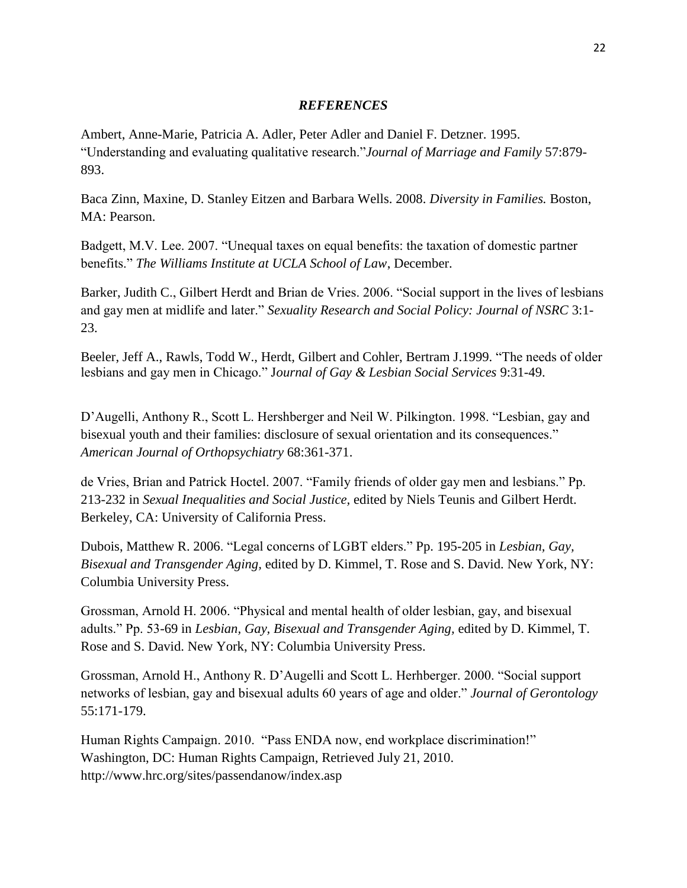### *REFERENCES*

Ambert, Anne-Marie, Patricia A. Adler, Peter Adler and Daniel F. Detzner. 1995. "Understanding and evaluating qualitative research."*Journal of Marriage and Family* 57:879- 893.

Baca Zinn, Maxine, D. Stanley Eitzen and Barbara Wells. 2008. *Diversity in Families.* Boston, MA: Pearson.

Badgett, M.V. Lee. 2007. "Unequal taxes on equal benefits: the taxation of domestic partner benefits." *The Williams Institute at UCLA School of Law*, December.

Barker, Judith C., Gilbert Herdt and Brian de Vries. 2006. "Social support in the lives of lesbians and gay men at midlife and later." *Sexuality Research and Social Policy: Journal of NSRC* 3:1- 23.

Beeler, Jeff A., Rawls, Todd W., Herdt, Gilbert and Cohler, Bertram J.1999. "The needs of older lesbians and gay men in Chicago." J*ournal of Gay & Lesbian Social Services* 9:31-49.

D"Augelli, Anthony R., Scott L. Hershberger and Neil W. Pilkington. 1998. "Lesbian, gay and bisexual youth and their families: disclosure of sexual orientation and its consequences." *American Journal of Orthopsychiatry* 68:361-371.

de Vries, Brian and Patrick Hoctel. 2007. "Family friends of older gay men and lesbians." Pp. 213-232 in *Sexual Inequalities and Social Justice,* edited by Niels Teunis and Gilbert Herdt. Berkeley, CA: University of California Press.

Dubois, Matthew R. 2006. "Legal concerns of LGBT elders." Pp. 195-205 in *Lesbian, Gay, Bisexual and Transgender Aging,* edited by D. Kimmel, T. Rose and S. David. New York, NY: Columbia University Press.

Grossman, Arnold H. 2006. "Physical and mental health of older lesbian, gay, and bisexual adults." Pp. 53-69 in *Lesbian, Gay, Bisexual and Transgender Aging,* edited by D. Kimmel, T. Rose and S. David. New York, NY: Columbia University Press.

Grossman, Arnold H., Anthony R. D"Augelli and Scott L. Herhberger. 2000. "Social support networks of lesbian, gay and bisexual adults 60 years of age and older." *Journal of Gerontology*  55:171-179.

Human Rights Campaign. 2010. "Pass ENDA now, end workplace discrimination!" Washington, DC: Human Rights Campaign, Retrieved July 21, 2010. http://www.hrc.org/sites/passendanow/index.asp